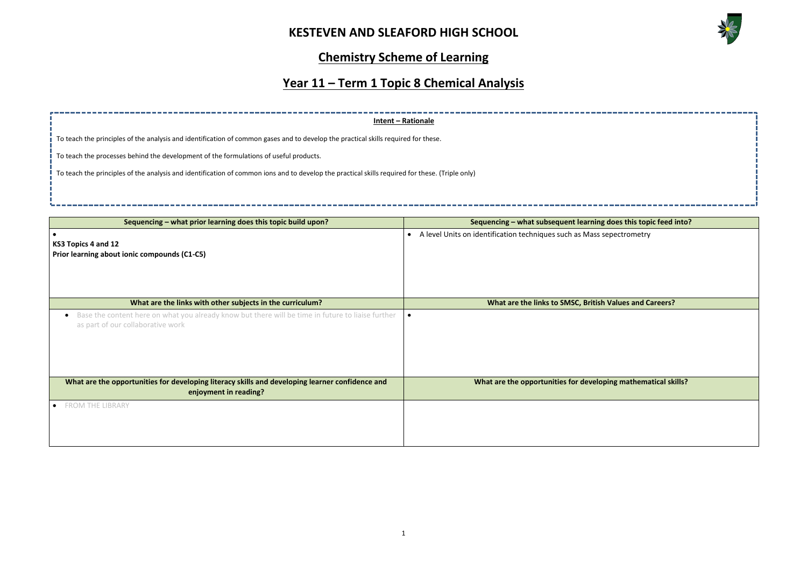

# **Chemistry Scheme of Learning**

# **Year 11 – Term 1 Topic 8 Chemical Analysis**



|                                                                                                                                                     | Intent - Rationale                                                     |
|-----------------------------------------------------------------------------------------------------------------------------------------------------|------------------------------------------------------------------------|
| To teach the principles of the analysis and identification of common gases and to develop the practical skills required for these.                  |                                                                        |
| To teach the processes behind the development of the formulations of useful products.                                                               |                                                                        |
| To teach the principles of the analysis and identification of common ions and to develop the practical skills required for these. (Triple only)     |                                                                        |
|                                                                                                                                                     |                                                                        |
|                                                                                                                                                     |                                                                        |
| Sequencing - what prior learning does this topic build upon?                                                                                        | Sequencing - what subsequent learning                                  |
| KS3 Topics 4 and 12<br>Prior learning about ionic compounds (C1-C5)                                                                                 | A level Units on identification techniques such as Mass s<br>$\bullet$ |
| What are the links with other subjects in the curriculum?                                                                                           | What are the links to SMSC, British                                    |
| Base the content here on what you already know but there will be time in future to liaise further<br>$\bullet$<br>as part of our collaborative work | $\bullet$                                                              |
| What are the opportunities for developing literacy skills and developing learner confidence and<br>enjoyment in reading?                            | What are the opportunities for develop                                 |
| <b>FROM THE LIBRARY</b>                                                                                                                             |                                                                        |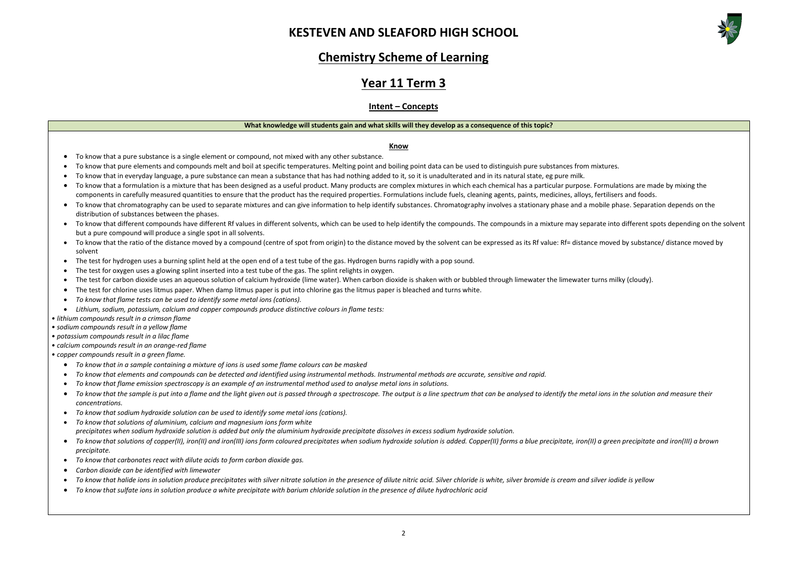

### **Chemistry Scheme of Learning**

# **Year 11 Term 3**

### **Intent – Concepts**

### **What knowledge will students gain and what skills will they develop as a consequence of this topic?**

### **Know**

- To know that a pure substance is a single element or compound, not mixed with any other substance.
- To know that pure elements and compounds melt and boil at specific temperatures. Melting point and boiling point data can be used to distinguish pure substances from mixtures.
- To know that in everyday language, a pure substance can mean a substance that has had nothing added to it, so it is unadulterated and in its natural state, eg pure milk.
- To know that a formulation is a mixture that has been designed as a useful product. Many products are complex mixtures in which each chemical has a particular purpose. Formulations are made by mixing the components in carefully measured quantities to ensure that the product has the required properties. Formulations include fuels, cleaning agents, paints, medicines, alloys, fertilisers and foods.
- To know that chromatography can be used to separate mixtures and can give information to help identify substances. Chromatography involves a stationary phase and a mobile phase. Separation depends on the distribution of substances between the phases.
- To know that different compounds have different Rf values in different solvents, which can be used to help identify the compounds. The compounds in a mixture may separate into different spots depending on the solvent but a pure compound will produce a single spot in all solvents.
- To know that the ratio of the distance moved by a compound (centre of spot from origin) to the distance moved by the solvent can be expressed as its Rf value: Rf= distance moved by substance/ distance moved by solvent
- The test for hydrogen uses a burning splint held at the open end of a test tube of the gas. Hydrogen burns rapidly with a pop sound.
- The test for oxygen uses a glowing splint inserted into a test tube of the gas. The splint relights in oxygen.
- The test for carbon dioxide uses an aqueous solution of calcium hydroxide (lime water). When carbon dioxide is shaken with or bubbled through limewater the limewater turns milky (cloudy).
- The test for chlorine uses litmus paper. When damp litmus paper is put into chlorine gas the litmus paper is bleached and turns white.
- *To know that flame tests can be used to identify some metal ions (cations).*
- *Lithium, sodium, potassium, calcium and copper compounds produce distinctive colours in flame tests:*
- *lithium compounds result in a crimson flame*
- *sodium compounds result in a yellow flame*
- *potassium compounds result in a lilac flame*
- *calcium compounds result in an orange-red flame*
- *copper compounds result in a green flame.*
	- *To know that in a sample containing a mixture of ions is used some flame colours can be masked*
	- *To know that elements and compounds can be detected and identified using instrumental methods. Instrumental methods are accurate, sensitive and rapid.*
	- *To know that flame emission spectroscopy is an example of an instrumental method used to analyse metal ions in solutions.*
	- To know that the sample is put into a flame and the light given out is passed through a spectroscope. The output is a line spectrum that can be analysed to identify the metal ions in the solution and measure their *concentrations.*
	- *To know that sodium hydroxide solution can be used to identify some metal ions (cations).*
	- *To know that solutions of aluminium, calcium and magnesium ions form white*
		- *precipitates when sodium hydroxide solution is added but only the aluminium hydroxide precipitate dissolves in excess sodium hydroxide solution.*
	- To know that solutions of copper(II), iron(II) and iron(III) ions form coloured precipitates when sodium hydroxide solution is added. Copper(II) forms a blue precipitate, iron(II) a green precipitate and iron(III) a brown *precipitate.*
	- *To know that carbonates react with dilute acids to form carbon dioxide gas.*
	- *Carbon dioxide can be identified with limewater*
	- *To know that halide ions in solution produce precipitates with silver nitrate solution in the presence of dilute nitric acid. Silver chloride is white, silver bromide is cream and silver iodide is yellow*
	- *To know that sulfate ions in solution produce a white precipitate with barium chloride solution in the presence of dilute hydrochloric acid*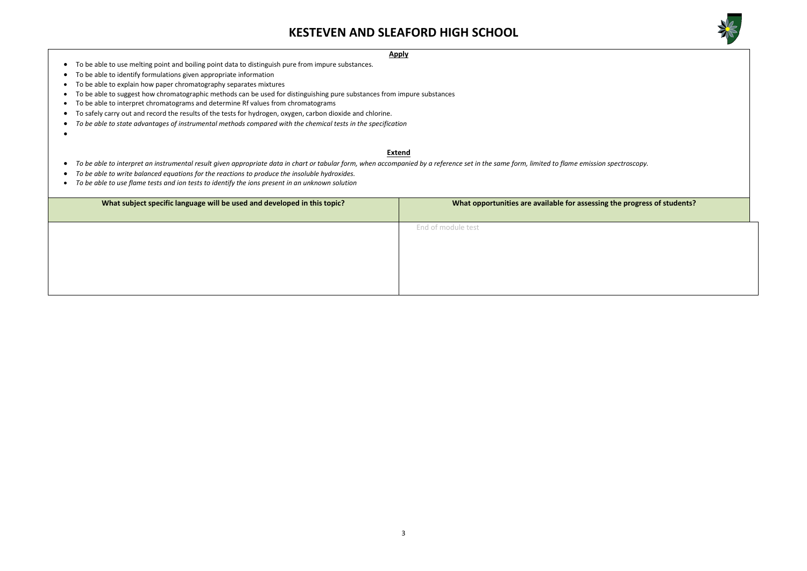

### **wheer in specific specific specific** in the progress of students?

### **Apply**

- To be able to use melting point and boiling point data to distinguish pure from impure substances.
- To be able to identify formulations given appropriate information
- To be able to explain how paper chromatography separates mixtures
- To be able to suggest how chromatographic methods can be used for distinguishing pure substances from impure substances
- To be able to interpret chromatograms and determine Rf values from chromatograms
- To safely carry out and record the results of the tests for hydrogen, oxygen, carbon dioxide and chlorine.
- *To be able to state advantages of instrumental methods compared with the chemical tests in the specification*
- •

### **Extend**

- *To be able to interpret an instrumental result given appropriate data in chart or tabular form, when accompanied by a reference set in the same form, limited to flame emission spectroscopy.*
- *To be able to write balanced equations for the reactions to produce the insoluble hydroxides.*
- *To be able to use flame tests and ion tests to identify the ions present in an unknown solution*

| What subject specific language will be used and developed in this topic? | What opportunities are available for assessing |
|--------------------------------------------------------------------------|------------------------------------------------|
|                                                                          | End of module test                             |
|                                                                          |                                                |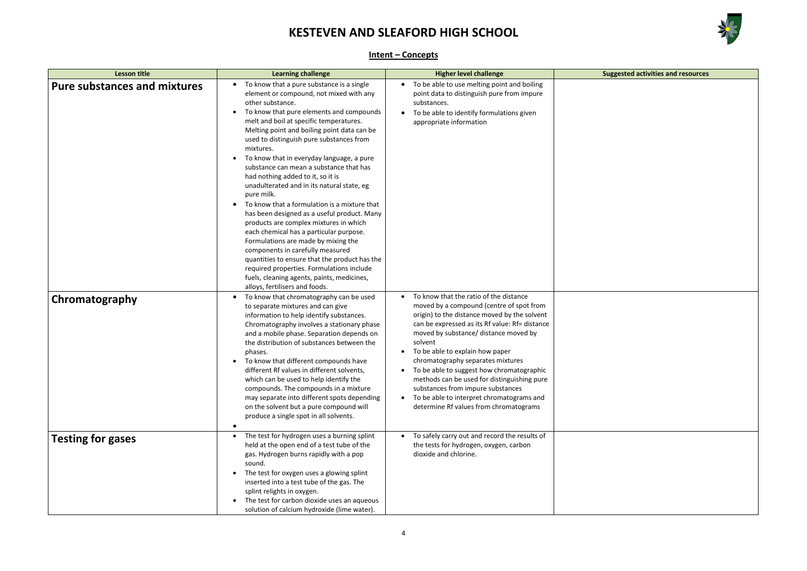

# **Learning Conseted activities and resources**

|--|

| <b>Lesson title</b>                 | <b>Learning challenge</b>                                                                                                                                                                                                                                                                                                                                                                                                                                                                                                                                                                                                                                                                                                                                                                                                                                                                                                                                  | <b>Higher level challenge</b>                                                                                                                                                                                                                                                                                                                                                                                                                                                                                                                                      | Su |
|-------------------------------------|------------------------------------------------------------------------------------------------------------------------------------------------------------------------------------------------------------------------------------------------------------------------------------------------------------------------------------------------------------------------------------------------------------------------------------------------------------------------------------------------------------------------------------------------------------------------------------------------------------------------------------------------------------------------------------------------------------------------------------------------------------------------------------------------------------------------------------------------------------------------------------------------------------------------------------------------------------|--------------------------------------------------------------------------------------------------------------------------------------------------------------------------------------------------------------------------------------------------------------------------------------------------------------------------------------------------------------------------------------------------------------------------------------------------------------------------------------------------------------------------------------------------------------------|----|
| <b>Pure substances and mixtures</b> | To know that a pure substance is a single<br>element or compound, not mixed with any<br>other substance.<br>To know that pure elements and compounds<br>$\bullet$<br>melt and boil at specific temperatures.<br>Melting point and boiling point data can be<br>used to distinguish pure substances from<br>mixtures.<br>To know that in everyday language, a pure<br>substance can mean a substance that has<br>had nothing added to it, so it is<br>unadulterated and in its natural state, eg<br>pure milk.<br>To know that a formulation is a mixture that<br>has been designed as a useful product. Many<br>products are complex mixtures in which<br>each chemical has a particular purpose.<br>Formulations are made by mixing the<br>components in carefully measured<br>quantities to ensure that the product has the<br>required properties. Formulations include<br>fuels, cleaning agents, paints, medicines,<br>alloys, fertilisers and foods. | To be able to use melting point and boiling<br>$\bullet$<br>point data to distinguish pure from impure<br>substances.<br>To be able to identify formulations given<br>appropriate information                                                                                                                                                                                                                                                                                                                                                                      |    |
| Chromatography                      | To know that chromatography can be used<br>$\bullet$<br>to separate mixtures and can give<br>information to help identify substances.<br>Chromatography involves a stationary phase<br>and a mobile phase. Separation depends on<br>the distribution of substances between the<br>phases.<br>To know that different compounds have<br>different Rf values in different solvents,<br>which can be used to help identify the<br>compounds. The compounds in a mixture<br>may separate into different spots depending<br>on the solvent but a pure compound will<br>produce a single spot in all solvents.<br>٠                                                                                                                                                                                                                                                                                                                                               | To know that the ratio of the distance<br>$\bullet$<br>moved by a compound (centre of spot from<br>origin) to the distance moved by the solvent<br>can be expressed as its Rf value: Rf= distance<br>moved by substance/ distance moved by<br>solvent<br>To be able to explain how paper<br>chromatography separates mixtures<br>To be able to suggest how chromatographic<br>methods can be used for distinguishing pure<br>substances from impure substances<br>To be able to interpret chromatograms and<br>$\bullet$<br>determine Rf values from chromatograms |    |
| <b>Testing for gases</b>            | The test for hydrogen uses a burning splint<br>held at the open end of a test tube of the<br>gas. Hydrogen burns rapidly with a pop<br>sound.<br>The test for oxygen uses a glowing splint<br>inserted into a test tube of the gas. The<br>splint relights in oxygen.<br>The test for carbon dioxide uses an aqueous<br>$\bullet$<br>solution of calcium hydroxide (lime water).                                                                                                                                                                                                                                                                                                                                                                                                                                                                                                                                                                           | To safely carry out and record the results of<br>the tests for hydrogen, oxygen, carbon<br>dioxide and chlorine.                                                                                                                                                                                                                                                                                                                                                                                                                                                   |    |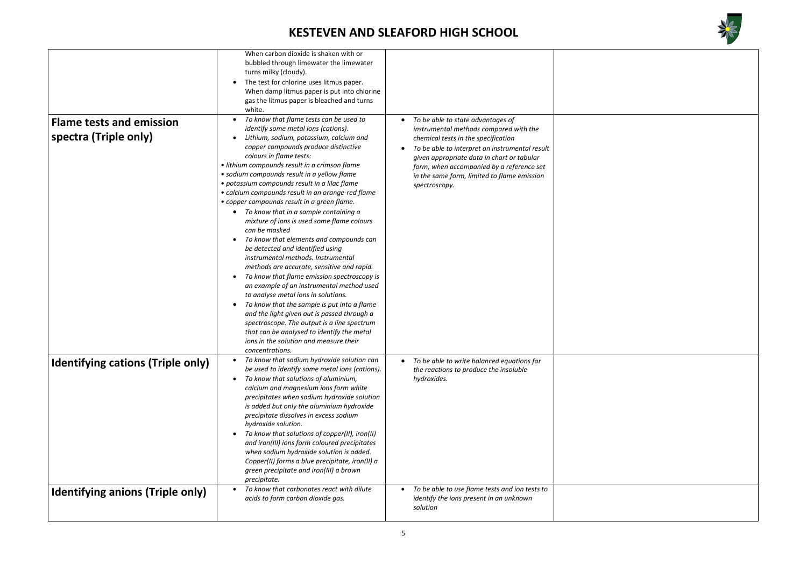



| <b>Flame tests and emission</b><br>spectra (Triple only) | When carbon dioxide is shaken with or<br>bubbled through limewater the limewater<br>turns milky (cloudy).<br>The test for chlorine uses litmus paper.<br>$\bullet$<br>When damp litmus paper is put into chlorine<br>gas the litmus paper is bleached and turns<br>white.<br>To know that flame tests can be used to<br>identify some metal ions (cations).<br>Lithium, sodium, potassium, calcium and<br>copper compounds produce distinctive<br>colours in flame tests:<br>· lithium compounds result in a crimson flame<br>• sodium compounds result in a yellow flame<br>· potassium compounds result in a lilac flame<br>• calcium compounds result in an orange-red flame<br>• copper compounds result in a green flame.<br>To know that in a sample containing a<br>mixture of ions is used some flame colours | To be able to state advantages of<br>instrumental methods compared with the<br>chemical tests in the specification<br>To be able to interpret an instrumental result<br>given appropriate data in chart or tabular<br>form, when accompanied by a reference set<br>in the same form, limited to flame emission<br>spectroscopy. |  |
|----------------------------------------------------------|-----------------------------------------------------------------------------------------------------------------------------------------------------------------------------------------------------------------------------------------------------------------------------------------------------------------------------------------------------------------------------------------------------------------------------------------------------------------------------------------------------------------------------------------------------------------------------------------------------------------------------------------------------------------------------------------------------------------------------------------------------------------------------------------------------------------------|---------------------------------------------------------------------------------------------------------------------------------------------------------------------------------------------------------------------------------------------------------------------------------------------------------------------------------|--|
|                                                          | can be masked<br>To know that elements and compounds can<br>be detected and identified using<br>instrumental methods. Instrumental<br>methods are accurate, sensitive and rapid.<br>To know that flame emission spectroscopy is<br>an example of an instrumental method used<br>to analyse metal ions in solutions.<br>To know that the sample is put into a flame<br>and the light given out is passed through a<br>spectroscope. The output is a line spectrum<br>that can be analysed to identify the metal<br>ions in the solution and measure their<br>concentrations.                                                                                                                                                                                                                                           |                                                                                                                                                                                                                                                                                                                                 |  |
| <b>Identifying cations (Triple only)</b>                 | To know that sodium hydroxide solution can<br>be used to identify some metal ions (cations).<br>To know that solutions of aluminium,<br>$\bullet$<br>calcium and magnesium ions form white<br>precipitates when sodium hydroxide solution<br>is added but only the aluminium hydroxide<br>precipitate dissolves in excess sodium<br>hydroxide solution.<br>To know that solutions of copper(II), iron(II)<br>and iron(III) ions form coloured precipitates<br>when sodium hydroxide solution is added.<br>Copper(II) forms a blue precipitate, iron(II) a<br>green precipitate and iron(III) a brown<br>precipitate.                                                                                                                                                                                                  | To be able to write balanced equations for<br>$\bullet$<br>the reactions to produce the insoluble<br>hydroxides.                                                                                                                                                                                                                |  |
| <b>Identifying anions (Triple only)</b>                  | To know that carbonates react with dilute<br>acids to form carbon dioxide gas.                                                                                                                                                                                                                                                                                                                                                                                                                                                                                                                                                                                                                                                                                                                                        | To be able to use flame tests and ion tests to<br>identify the ions present in an unknown<br>solution                                                                                                                                                                                                                           |  |